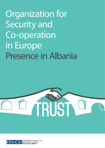Organization for Security and Co-operation in Europe Presence in Albania





Organization for Security and Co-operation in Europe resence in Albania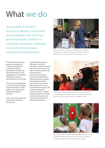## What we do

The mandate of the OSCE Presence in Albania is to promote democratization, the rule of law, and human rights, as well as to consolidate democratic institutions in line with OSCE principles, standards and commitments.

The OSCE Presence provides assistance and expertise, in close consultation and co-operation with the Government of Albania and other State institutions and organizations, to the Albanian authorities as well as to representatives of civil society.

The Presence was established in 1997, following the collapse of pyramid schemes, to help stabilise the country and coordinate international assistance.

Today, the Presence's activities concentrate on three key priority areas:

i) Strengthened support to fight against crime and corruption; ii) Enhanced rule of law, justice reform and human right; iii) Advanced democracy and governance [at both central and local levels], with an emphasis on the electoral reform, support to the parliament and to free and facts-based media. While applying its concept of comprehensive security, the Presence continuously enhances its work on gender equality, and brings a stronger voice of women, youth and civil society at large into its work across dimensions.



Over more than two decades, the Presence has participated actively in the country's most important reforms, including electoral, judicial, property and decentralization reforms.



 The Presence works to prevent and counter violent extremism and radicalization that lead to terrorism in prisons and probation services, and to strengthen women's role against VERLT.



The Presence helps authorities better identify and protect victims of trafficking, fight against various forms of crime, and enhance community engagement in security and safety matters.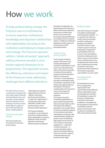### How we work

To help achieve lasting change, the Presence uses its multinational in-house expertise, institutional knowledge and long-term relationships with stakeholders, focusing on the institutions and helping to shape policy and strategy. The Presence operates within a "whole-of-society" approach, adding wherever possible a cross border regional dimension to its programmes. This approach ensures the efficiency, coherence and impact of the Presence's work, addressing challenges from different directions.

The OSCE Presence works in co-ordination and partnership with a wide range of Albanian and international actors, and also takes a strong regional approach and peer-to-peer exchange. The Presence does all this with the support of the 57 OSCE participating States, including Albania.

#### Fostering sustainable change

Structures and laws are not enough. The Presence works towards:

• Meaningful and impartial implementation of the law; • Effective and proper functioning of institutions; • Creation of a relationship of trust between citizens and authorities, at both central and local level,as well as between political opponents.

The Presence facilitates consultation on development and reform, bringing together all the stakeholders in a process, applying a whole-of-society approach, and fostering relations between institutions.

Grounded in its Mandate, the ultimate goal of the Presence is Albania with strong institutions and practices of democracy, justice, the rule of law and security that operate effectively, accountably, and are trusted by citizens, in fulfilment of Albanian aspirations and the values and commitments of OSCE participating States.

### Implementing priority projects

At the request of national partners, the Presence has actively participated and continues to participate in many of the most important reform efforts of the past two decades, including electoral, judicial, property and decentralization reforms. It reviews and comments on draft legislation, promotes and facilitates public consultation, and advises on the design and implementation of new policies. The diverse mandate allows the Presence to answer local requests for expertise and technical assistance.

The Presence has led or contributed significantly to a large number of projects that have had a direct impact on the well-being of the Albanian population. This includes efforts to remove and destroy surpluses of conventional ammunition and dangerous chemicals, help authorities better identify and protect victims of trafficking, fight against various forms of crime, enhance community engagement – in particular of women and youth – in security and safety matters, improve the judicial efficiency and access to justice, advance media development and promote human rights.

### Building bridges

One of the Presence's strengths is its ability to build bridges and bring people together – to co-operate from within the country and across borders, to address challenges or enhance reconciliation. The OSCE Presence's work includes support to improve transparency, integrity and accountability and ensure inclusive citizen participation in decision-making processes. There is a focus on how citizens interact with their democracy, recognizing that citizens have a role in monitoring and setting standards for the proper functioning of their institutions. The Presence emphasizes responsibilities as well as rights.

#### Activating citizen participation

By strengthening a sense of civic engagement, empowerment and responsibility among Albanian citizens, particularly women, young people and members of marginalized groups, the Presence is helping them to get their voices heard. In addition to strengthening the transparency and outreach of institutions towards citizens, the Presence works to enhance knowledge and skills among citizens at large.